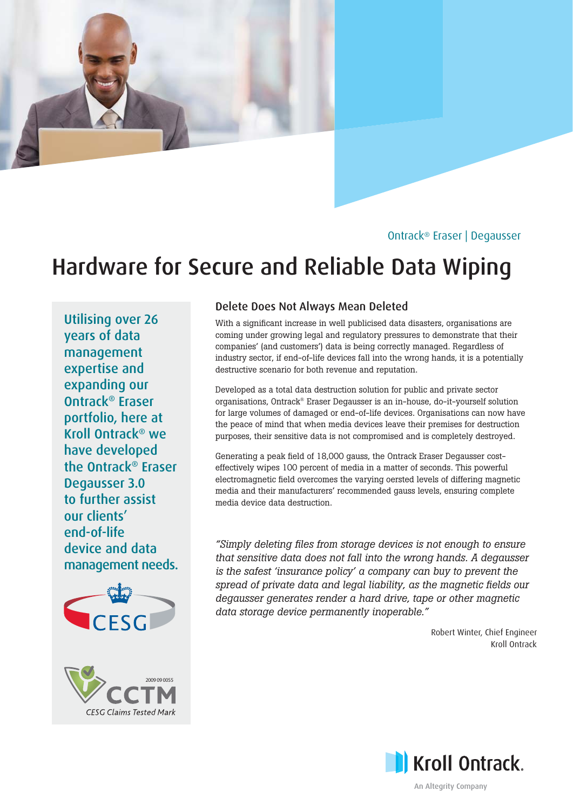

Ontrack® Eraser | Degausser

# Hardware for Secure and Reliable Data Wiping

Utilising over 26 years of data management expertise and expanding our Ontrack® Eraser portfolio, here at Kroll Ontrack® we have developed the Ontrack® Eraser Degausser 3.0 to further assist our clients' end-of-life device and data management needs.





# Delete Does Not Always Mean Deleted

With a significant increase in well publicised data disasters, organisations are coming under growing legal and regulatory pressures to demonstrate that their companies' (and customers') data is being correctly managed. Regardless of industry sector, if end-of-life devices fall into the wrong hands, it is a potentially destructive scenario for both revenue and reputation.

Developed as a total data destruction solution for public and private sector organisations, Ontrack® Eraser Degausser is an in-house, do-it-yourself solution for large volumes of damaged or end-of-life devices. Organisations can now have the peace of mind that when media devices leave their premises for destruction purposes, their sensitive data is not compromised and is completely destroyed.

Generating a peak field of 18,000 gauss, the Ontrack Eraser Degausser costeffectively wipes 100 percent of media in a matter of seconds. This powerful electromagnetic field overcomes the varying oersted levels of differing magnetic media and their manufacturers' recommended gauss levels, ensuring complete media device data destruction.

*"Simply deleting fi les from storage devices is not enough to ensure that sensitive data does not fall into the wrong hands. A degausser is the safest 'insurance policy' a company can buy to prevent the*  spread of private data and legal liability, as the magnetic fields our *degausser generates render a hard drive, tape or other magnetic data storage device permanently inoperable."*

> Robert Winter, Chief Engineer Kroll Ontrack



An Altegrity Company